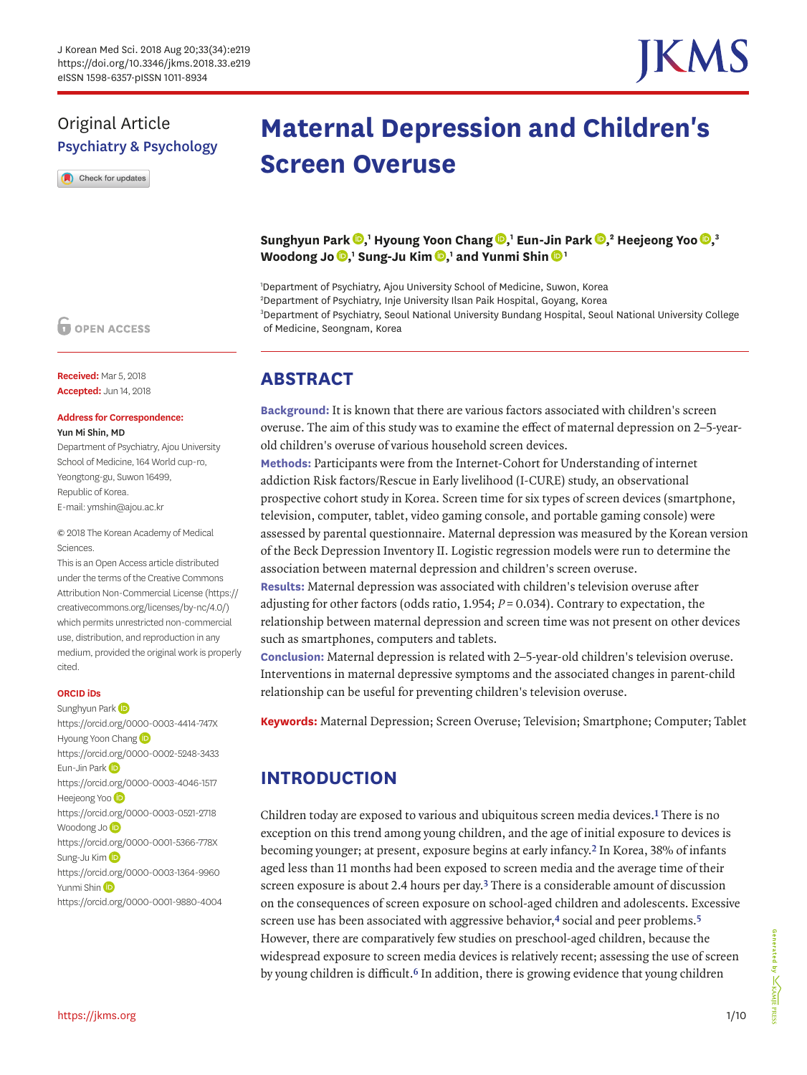

## Original Article Psychiatry & Psychology

Check for updates

### **O** OPEN ACCESS

**Received:** Mar 5, 2018 **Accepted:** Jun 14, 2018

#### **Address for Correspondence:**  Yun Mi Shin, MD

Department of Psychiatry, Ajou University School of Medicine, 164 World cup-ro, Yeongtong-gu, Suwon 16499, Republic of Korea. E-mail: ymshin@ajou.ac.kr

© 2018 The Korean Academy of Medical Sciences.

This is an Open Access article distributed under the terms of the Creative Commons Attribution Non-Commercial License ([https://](https://creativecommons.org/licenses/by-nc/4.0/) [creativecommons.org/licenses/by-nc/4.0/\)](https://creativecommons.org/licenses/by-nc/4.0/) which permits unrestricted non-commercial use, distribution, and reproduction in any medium, provided the original work is properly cited.

#### **ORCID iDs**

Sunghyun Park <https://orcid.org/0000-0003-4414-747X> Hyoun[g](https://orcid.org/0000-0002-5248-3433) Yoon Chang **iD** <https://orcid.org/0000-0002-5248-3433> Eun-Jin Park<sup>D</sup> <https://orcid.org/0000-0003-4046-1517> Heejeong Yoo<sup>D</sup> <https://orcid.org/0000-0003-0521-2718> Woodong Jo<sup>D</sup> <https://orcid.org/0000-0001-5366-778X> Sung-Ju Kim<sup>(D</sup> <https://orcid.org/0000-0003-1364-9960> Yunmi Shi[n](https://orcid.org/0000-0001-9880-4004) (D <https://orcid.org/0000-0001-9880-4004>

# **Maternal Depression and Children's Screen Overuse**

 ${\bf S}$ unghyun Park  ${\bf \textcircled{P}},$  ${\bf \textcircled{P}},$ ' Hyoung Yoon Chang  ${\bf \textcircled{P}},$ ' Eun-Jin Park  ${\bf \textcircled{P}},$ ' Heejeong Yoo  ${\bf \textcircled{P}},$ '  $\textbf{W}$ oodo[n](https://orcid.org/0000-0001-9880-4004)g Jo $\textbf{D}$ [,](https://orcid.org/0000-0003-1364-9960)' Sung-Ju Kim $\textbf{D}$ ,' and Yunmi Shin $\textbf{D}$ '

 Department of Psychiatry, Ajou University School of Medicine, Suwon, Korea Department of Psychiatry, Inje University Ilsan Paik Hospital, Goyang, Korea Department of Psychiatry, Seoul National University Bundang Hospital, Seoul National University College of Medicine, Seongnam, Korea

## **ABSTRACT**

**Background:** It is known that there are various factors associated with children's screen overuse. The aim of this study was to examine the effect of maternal depression on 2–5-yearold children's overuse of various household screen devices.

**Methods:** Participants were from the Internet-Cohort for Understanding of internet addiction Risk factors/Rescue in Early livelihood (I-CURE) study, an observational prospective cohort study in Korea. Screen time for six types of screen devices (smartphone, television, computer, tablet, video gaming console, and portable gaming console) were assessed by parental questionnaire. Maternal depression was measured by the Korean version of the Beck Depression Inventory II. Logistic regression models were run to determine the association between maternal depression and children's screen overuse.

**Results:** Maternal depression was associated with children's television overuse after adjusting for other factors (odds ratio,  $1.954$ ;  $P = 0.034$ ). Contrary to expectation, the relationship between maternal depression and screen time was not present on other devices such as smartphones, computers and tablets.

**Conclusion:** Maternal depression is related with 2–5-year-old children's television overuse. Interventions in maternal depressive symptoms and the associated changes in parent-child relationship can be useful for preventing children's television overuse.

**Keywords:** Maternal Depression; Screen Overuse; Television; Smartphone; Computer; Tablet

## **INTRODUCTION**

Children today are exposed to various and ubiquitous screen media devices.**[1](#page-7-0)** There is no exception on this trend among young children, and the age of initial exposure to devices is becoming younger; at present, exposure begins at early infancy.**[2](#page-7-1)** In Korea, 38% of infants aged less than 11 months had been exposed to screen media and the average time of their screen exposure is about 2.4 hours per day.**[3](#page-7-2)** There is a considerable amount of discussion on the consequences of screen exposure on school-aged children and adolescents. Excessive screen use has been associated with aggressive behavior,**[4](#page-7-3)** social and peer problems.**[5](#page-8-0)** However, there are comparatively few studies on preschool-aged children, because the widespread exposure to screen media devices is relatively recent; assessing the use of screen by young children is difficult.**[6](#page-8-1)** In addition, there is growing evidence that young children